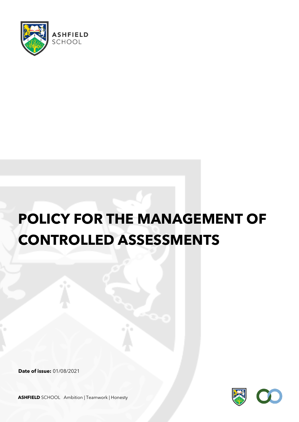

# **POLICY FOR THE MANAGEMENT OF CONTROLLED ASSESSMENTS**

**Date of issue:** 01/08/2021



**ASHFIELD** SCHOOL Ambition | Teamwork | Honesty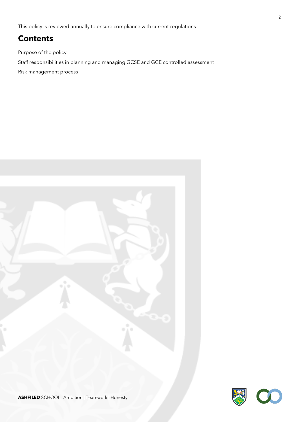This policy is reviewed annually to ensure compliance with current regulations

## **Contents**

Purpose of the policy

Staff responsibilities in planning and managing GCSE and GCE controlled assessment

Risk management process

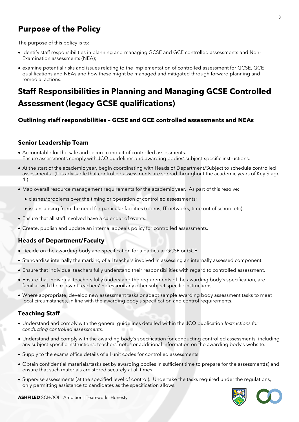## **Purpose of the Policy**

The purpose of this policy is to:

- identify staff responsibilities in planning and managing GCSE and GCE controlled assessments and Non-Examination assessments (NEA);
- examine potential risks and issues relating to the implementation of controlled assessment for GCSE, GCE qualifications and NEAs and how these might be managed and mitigated through forward planning and remedial actions.

## **Staff Responsibilities in Planning and Managing GCSE Controlled Assessment (legacy GCSE qualifications)**

#### **Outlining staff responsibilities – GCSE and GCE controlled assessments and NEAs**

#### **Senior Leadership Team**

- Accountable for the safe and secure conduct of controlled assessments. Ensure assessments comply with JCQ guidelines and awarding bodies' subject-specific instructions.
- At the start of the academic year, begin coordinating with Heads of Department/Subject to schedule controlled assessments. (It is advisable that controlled assessments are spread throughout the academic years of Key Stage 4.)
- Map overall resource management requirements for the academic year. As part of this resolve:
	- clashes/problems over the timing or operation of controlled assessments;
	- issues arising from the need for particular facilities (rooms, IT networks, time out of school etc);
- Ensure that all staff involved have a calendar of events.
- Create, publish and update an internal appeals policy for controlled assessments.

#### **Heads of Department/Faculty**

- Decide on the awarding body and specification for a particular GCSE or GCE.
- Standardise internally the marking of all teachers involved in assessing an internally assessed component.
- Ensure that individual teachers fully understand their responsibilities with regard to controlled assessment.
- Ensure that individual teachers fully understand the requirements of the awarding body's specification, are familiar with the relevant teachers' notes **and** any other subject specific instructions.
- Where appropriate, develop new assessment tasks or adapt sample awarding body assessment tasks to meet local circumstances, in line with the awarding body's specification and control requirements.

#### **Teaching Staff**

- Understand and comply with the general guidelines detailed within the JCQ publication *Instructions for conducting controlled assessments*.
- Understand and comply with the awarding body's specification for conducting controlled assessments, including any subject-specific instructions, teachers' notes or additional information on the awarding body's website.
- Supply to the exams office details of all unit codes for controlled assessments.
- Obtain confidential materials/tasks set by awarding bodies in sufficient time to prepare for the assessment(s) and ensure that such materials are stored securely at all times.
- Supervise assessments (at the specified level of control). Undertake the tasks required under the regulations, only permitting assistance to candidates as the specification allows.

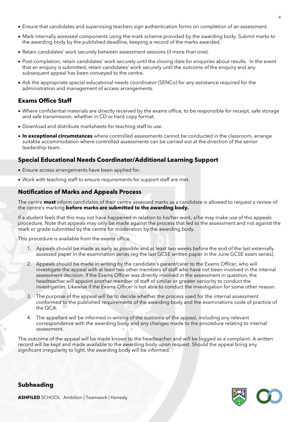- Ensure that candidates and supervising teachers sign authentication forms on completion of an assessment.
- Mark internally assessed components using the mark scheme provided by the awarding body. Submit marks to the awarding body by the published deadline, keeping a record of the marks awarded.
- Retain candidates' work securely between assessment sessions (if more than one).
- Post-completion, retain candidates' work securely until the closing date for enquiries about results. In the event that an enquiry is submitted, retain candidates' work securely until the outcome of the enquiry and any subsequent appeal has been conveyed to the centre.
- Ask the appropriate special educational needs coordinator (SENCo) for any assistance required for the administration and management of access arrangements.

#### **Exams Office Staff**

- Where confidential materials are directly received by the exams office, to be responsible for receipt, safe storage and safe transmission, whether in CD or hard copy format.
- Download and distribute marksheets for teaching staff to use.
- **In exceptional circumstances** where controlled assessments cannot be conducted in the classroom, arrange suitable accommodation where controlled assessments can be carried out at the direction of the senior leadership team.

#### **Special Educational Needs Coordinator/Additional Learning Support**

- Ensure access arrangements have been applied for.
- Work with teaching staff to ensure requirements for support staff are met.

#### **Notification of Marks and Appeals Process**

The centre **must** inform candidates of their centre assessed marks as a candidate is allowed to request a review of the centre's marking **before marks are submitted to the awarding body.**

If a student feels that this may not have happened in relation to his/her work, s/he may make use of this appeals procedure. Note that appeals may only be made against the process that led to the assessment and not against the mark or grade submitted by the centre for moderation by the awarding body.

This procedure is available from the exams office.

- 1. Appeals should be made as early as possible and at least two weeks before the end of the last externally assessed paper in the examination series (eg the last GCSE written paper in the June GCSE exam series).
- 2. Appeals should be made in writing by the candidate's parent/carer to the Exams Officer, who will investigate the appeal with at least two other members of staff who have not been involved in the internal assessment decision. If the Exams Officer was directly involved in the assessment in question, the headteacher will appoint another member of staff of similar or greater seniority to conduct the investigation. Likewise if the Exams Officer is not able to conduct the investigation for some other reason.
- 3. The purpose of the appeal will be to decide whether the process used for the internal assessment conformed to the published requirements of the awarding body and the examinations code of practice of the QCA.
- 4. The appellant will be informed in writing of the outcome of the appeal, including any relevant correspondence with the awarding body and any changes made to the procedure relating to internal assessment.

The outcome of the appeal will be made known to the headteacher and will be logged as a complaint. A written record will be kept and made available to the awarding body upon request. Should the appeal bring any significant irregularity to light, the awarding body will be informed.



4

**Subheading**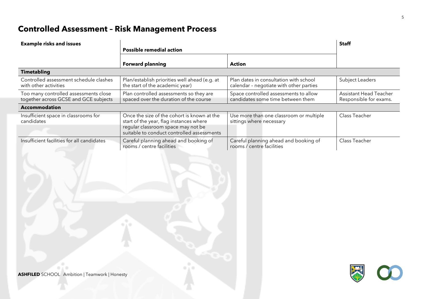# **Controlled Assessment – Risk Management Process**

| <b>Example risks and issues</b>                                                |                                                                                                                                                                            |                                                                                   | <b>Staff</b>                                            |
|--------------------------------------------------------------------------------|----------------------------------------------------------------------------------------------------------------------------------------------------------------------------|-----------------------------------------------------------------------------------|---------------------------------------------------------|
|                                                                                | <b>Possible remedial action</b>                                                                                                                                            |                                                                                   |                                                         |
|                                                                                | <b>Forward planning</b>                                                                                                                                                    | Action                                                                            |                                                         |
| <b>Timetabling</b>                                                             |                                                                                                                                                                            |                                                                                   |                                                         |
| Controlled assessment schedule clashes<br>with other activities                | Plan/establish priorities well ahead (e.g. at<br>the start of the academic year)                                                                                           | Plan dates in consultation with school<br>calendar - negotiate with other parties | Subject Leaders                                         |
| Too many controlled assessments close<br>together across GCSE and GCE subjects | Plan controlled assessments so they are<br>spaced over the duration of the course                                                                                          | Space controlled assessments to allow<br>candidates some time between them        | <b>Assistant Head Teacher</b><br>Responsible for exams. |
| <b>Accommodation</b>                                                           |                                                                                                                                                                            |                                                                                   |                                                         |
| Insufficient space in classrooms for<br>candidates                             | Once the size of the cohort is known at the<br>start of the year, flag instances where<br>regular classroom space may not be<br>suitable to conduct controlled assessments | Use more than one classroom or multiple<br>sittings where necessary               | Class Teacher                                           |
| Insufficient facilities for all candidates                                     | Careful planning ahead and booking of<br>rooms / centre facilities                                                                                                         | Careful planning ahead and booking of<br>rooms / centre facilities                | Class Teacher                                           |

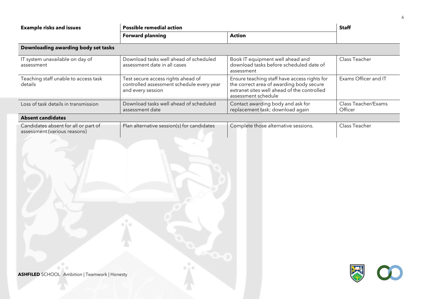| <b>Example risks and issues</b>                                                                                                                                             | <b>Possible remedial action</b>                                                                      |                                                                                                                                                                | <b>Staff</b>                   |  |  |
|-----------------------------------------------------------------------------------------------------------------------------------------------------------------------------|------------------------------------------------------------------------------------------------------|----------------------------------------------------------------------------------------------------------------------------------------------------------------|--------------------------------|--|--|
|                                                                                                                                                                             | <b>Forward planning</b>                                                                              | <b>Action</b>                                                                                                                                                  |                                |  |  |
| Downloading awarding body set tasks                                                                                                                                         |                                                                                                      |                                                                                                                                                                |                                |  |  |
| IT system unavailable on day of<br>assessment                                                                                                                               | Download tasks well ahead of scheduled<br>assessment date in all cases                               | Book IT equipment well ahead and<br>download tasks before scheduled date of<br>assessment                                                                      | Class Teacher                  |  |  |
| Teaching staff unable to access task<br>details                                                                                                                             | Test secure access rights ahead of<br>controlled assessment schedule every year<br>and every session | Ensure teaching staff have access rights for<br>the correct area of awarding body secure<br>extranet sites well ahead of the controlled<br>assessment schedule | Exams Officer and IT           |  |  |
| Loss of task details in transmission                                                                                                                                        | Download tasks well ahead of scheduled<br>assessment date                                            | Contact awarding body and ask for<br>replacement task; download again                                                                                          | Class Teacher/Exams<br>Officer |  |  |
| <b>Absent candidates</b>                                                                                                                                                    |                                                                                                      |                                                                                                                                                                |                                |  |  |
| Candidates absent for all or part of<br>Plan alternative session(s) for candidates<br>Complete those alternative sessions.<br>Class Teacher<br>assessment (various reasons) |                                                                                                      |                                                                                                                                                                |                                |  |  |
| <b>ASHFILED</b> SCHOOL Ambition   Teamwork   Honesty                                                                                                                        |                                                                                                      |                                                                                                                                                                |                                |  |  |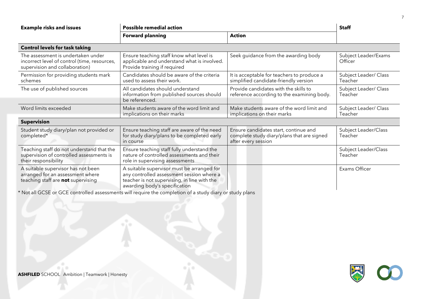| <b>Example risks and issues</b>                                                                                      | <b>Possible remedial action</b>                                                                                                                                          |                                                                                                            | <b>Staff</b>                     |  |
|----------------------------------------------------------------------------------------------------------------------|--------------------------------------------------------------------------------------------------------------------------------------------------------------------------|------------------------------------------------------------------------------------------------------------|----------------------------------|--|
|                                                                                                                      | <b>Forward planning</b>                                                                                                                                                  | <b>Action</b>                                                                                              |                                  |  |
| <b>Control levels for task taking</b>                                                                                |                                                                                                                                                                          |                                                                                                            |                                  |  |
| The assessment is undertaken under<br>incorrect level of control (time, resources,<br>supervision and collaboration) | Ensure teaching staff know what level is<br>applicable and understand what is involved.<br>Provide training if required                                                  | Seek guidance from the awarding body                                                                       | Subject Leader/Exams<br>Officer  |  |
| Permission for providing students mark<br>schemes                                                                    | Candidates should be aware of the criteria<br>used to assess their work.                                                                                                 | It is acceptable for teachers to produce a<br>simplified candidate-friendly version                        | Subject Leader/ Class<br>Teacher |  |
| The use of published sources                                                                                         | All candidates should understand<br>information from published sources should<br>be referenced.                                                                          | Provide candidates with the skills to<br>reference according to the examining body.                        | Subject Leader/ Class<br>Teacher |  |
| Word limits exceeded                                                                                                 | Make students aware of the word limit and<br>implications on their marks                                                                                                 | Make students aware of the word limit and<br>implications on their marks                                   | Subject Leader/ Class<br>Teacher |  |
| <b>Supervision</b>                                                                                                   |                                                                                                                                                                          |                                                                                                            |                                  |  |
| Student study diary/plan not provided or<br>completed*                                                               | Ensure teaching staff are aware of the need<br>for study diary/plans to be completed early<br>in course                                                                  | Ensure candidates start, continue and<br>complete study diary/plans that are signed<br>after every session | Subject Leader/Class<br>Teacher  |  |
| Teaching staff do not understand that the<br>supervision of controlled assessments is<br>their responsibility        | Ensure teaching staff fully understand the<br>nature of controlled assessments and their<br>role in supervising assessments                                              |                                                                                                            | Subject Leader/Class<br>Teacher  |  |
| A suitable supervisor has not been<br>arranged for an assessment where<br>teaching staff are not supervising         | A suitable supervisor must be arranged for<br>any controlled assessment session where a<br>teacher is not supervising, in line with the<br>awarding body's specification |                                                                                                            | Exams Officer                    |  |

\* Not all GCSE or GCE controlled assessments will require the completion of a study diary or study plans

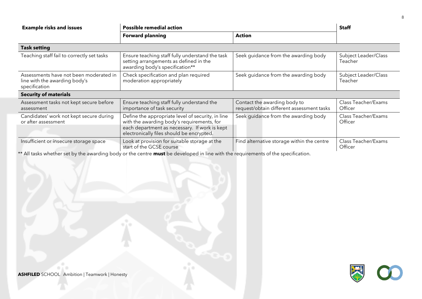| <b>Example risks and issues</b>                                                          | <b>Possible remedial action</b>                                                                                                                                                               |                                                                           | <b>Staff</b>                    |
|------------------------------------------------------------------------------------------|-----------------------------------------------------------------------------------------------------------------------------------------------------------------------------------------------|---------------------------------------------------------------------------|---------------------------------|
|                                                                                          | <b>Forward planning</b>                                                                                                                                                                       | <b>Action</b>                                                             |                                 |
| <b>Task setting</b>                                                                      |                                                                                                                                                                                               |                                                                           |                                 |
| Teaching staff fail to correctly set tasks                                               | Ensure teaching staff fully understand the task<br>setting arrangements as defined in the<br>awarding body's specification**                                                                  | Seek guidance from the awarding body                                      | Subject Leader/Class<br>Teacher |
| Assessments have not been moderated in<br>line with the awarding body's<br>specification | Check specification and plan required<br>moderation appropriately                                                                                                                             | Seek guidance from the awarding body                                      | Subject Leader/Class<br>Teacher |
| <b>Security of materials</b>                                                             |                                                                                                                                                                                               |                                                                           |                                 |
| Assessment tasks not kept secure before<br>assessment                                    | Ensure teaching staff fully understand the<br>importance of task security                                                                                                                     | Contact the awarding body to<br>request/obtain different assessment tasks | Class Teacher/Exams<br>Officer  |
| Candidates' work not kept secure during<br>or after assessment                           | Define the appropriate level of security, in line<br>with the awarding body's requirements, for<br>each department as necessary. If work is kept<br>electronically files should be encrypted. | Seek quidance from the awarding body                                      | Class Teacher/Exams<br>Officer  |
| Insufficient or insecure storage space                                                   | Look at provision for suitable storage at the<br>start of the GCSE course                                                                                                                     | Find alternative storage within the centre                                | Class Teacher/Exams<br>Officer  |

\*\* All tasks whether set by the awarding body or the centre **must** be developed in line with the requirements of the specification.

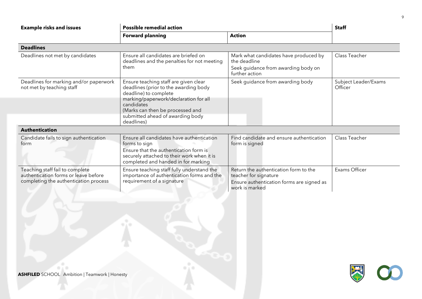| <b>Example risks and issues</b>                                                                                  | <b>Possible remedial action</b>                                                                                                                                                                                                                      |                                                                                                                               | <b>Staff</b>                    |  |
|------------------------------------------------------------------------------------------------------------------|------------------------------------------------------------------------------------------------------------------------------------------------------------------------------------------------------------------------------------------------------|-------------------------------------------------------------------------------------------------------------------------------|---------------------------------|--|
|                                                                                                                  | <b>Forward planning</b>                                                                                                                                                                                                                              | <b>Action</b>                                                                                                                 |                                 |  |
| <b>Deadlines</b>                                                                                                 |                                                                                                                                                                                                                                                      |                                                                                                                               |                                 |  |
| Deadlines not met by candidates                                                                                  | Ensure all candidates are briefed on<br>deadlines and the penalties for not meeting<br>them                                                                                                                                                          | Mark what candidates have produced by<br>the deadline<br>Seek guidance from awarding body on<br>further action                | Class Teacher                   |  |
| Deadlines for marking and/or paperwork<br>not met by teaching staff                                              | Ensure teaching staff are given clear<br>deadlines (prior to the awarding body<br>deadline) to complete<br>marking/paperwork/declaration for all<br>candidates<br>(Marks can then be processed and<br>submitted ahead of awarding body<br>deadlines) | Seek guidance from awarding body                                                                                              | Subject Leader/Exams<br>Officer |  |
| <b>Authentication</b>                                                                                            |                                                                                                                                                                                                                                                      |                                                                                                                               |                                 |  |
| Candidate fails to sign authentication<br>form                                                                   | Ensure all candidates have authentication<br>forms to sign<br>Ensure that the authentication form is<br>securely attached to their work when it is<br>completed and handed in for marking                                                            | Find candidate and ensure authentication<br>form is signed                                                                    | Class Teacher                   |  |
| Teaching staff fail to complete<br>authentication forms or leave before<br>completing the authentication process | Ensure teaching staff fully understand the<br>importance of authentication forms and the<br>requirement of a signature                                                                                                                               | Return the authentication form to the<br>teacher for signature<br>Ensure authentication forms are signed as<br>work is marked | Exams Officer                   |  |